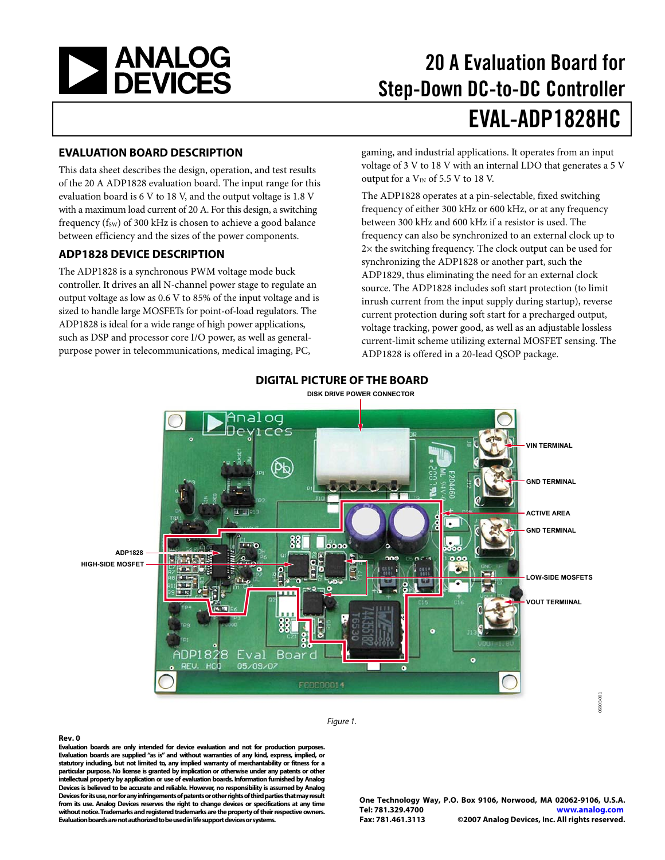<span id="page-0-0"></span>

# 20 A Evaluation Board for Step-Down DC-to-DC Controller EVAL-ADP1828HC

#### **EVALUATION BOARD DESCRIPTION**

This data sheet describes the design, operation, and test results of the 20 A ADP1828 evaluation board. The input range for this evaluation board is 6 V to 18 V, and the output voltage is 1.8 V with a maximum load current of 20 A. For this design, a switching frequency ( $f_{SW}$ ) of 300 kHz is chosen to achieve a good balance between efficiency and the sizes of the power components.

### **ADP1828 DEVICE DESCRIPTION**

The ADP1828 is a synchronous PWM voltage mode buck controller. It drives an all N-channel power stage to regulate an output voltage as low as 0.6 V to 85% of the input voltage and is sized to handle large MOSFETs for point-of-load regulators. The ADP1828 is ideal for a wide range of high power applications, such as DSP and processor core I/O power, as well as generalpurpose power in telecommunications, medical imaging, PC,

gaming, and industrial applications. It operates from an input voltage of 3 V to 18 V with an internal LDO that generates a 5 V output for a  $V_{IN}$  of 5.5 V to 18 V.

The ADP1828 operates at a pin-selectable, fixed switching frequency of either 300 kHz or 600 kHz, or at any frequency between 300 kHz and 600 kHz if a resistor is used. The frequency can also be synchronized to an external clock up to 2× the switching frequency. The clock output can be used for synchronizing the ADP1828 or another part, such the ADP1829, thus eliminating the need for an external clock source. The ADP1828 includes soft start protection (to limit inrush current from the input supply during startup), reverse current protection during soft start for a precharged output, voltage tracking, power good, as well as an adjustable lossless current-limit scheme utilizing external MOSFET sensing. The ADP1828 is offered in a 20-lead QSOP package.



### **DIGITAL PICTURE OF THE BOARD**

**DISK DRIVE POWER CONNECTOR**

Figure 1.

**Evaluation boards are only intended for device evaluation and not for production purposes. Evaluation boards are supplied "as is" and without warranties of any kind, express, implied, or statutory including, but not limited to, any implied warranty of merchantability or fitness for a particular purpose. No license is granted by implication or otherwise under any patents or other intellectual property by application or use of evaluation boards. Information furnished by Analog Devices is believed to be accurate and reliable. However, no responsibility is assumed by Analog Devices for its use, nor for any infringements of patents or other rights of third parties that may result from its use. Analog Devices reserves the right to change devices or specifications at any time without notice. Trademarks and registered trademarks are the property of their respective owners. Evaluation boards are not authorized to be used in life support devices or systems.** 

**One Technology Way, P.O. Box 9106, Norwood, MA 02062-9106, U.S.A. Tel: 781.329.4700 www.analog.com** ©2007 Analog Devices, Inc. All rights reserved.

06903-001

6903-001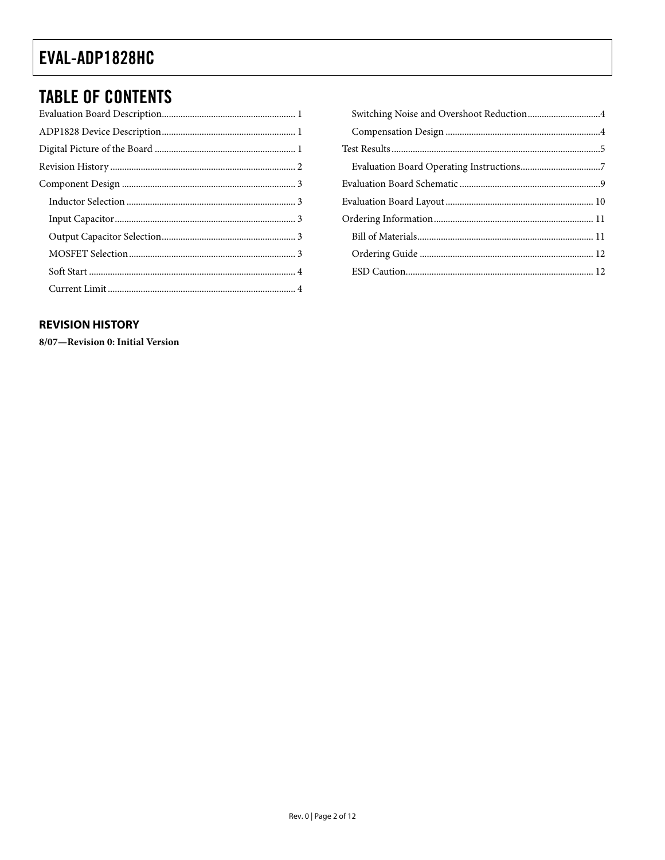### <span id="page-1-0"></span>**TABLE OF CONTENTS**

### **REVISION HISTORY**

8/07-Revision 0: Initial Version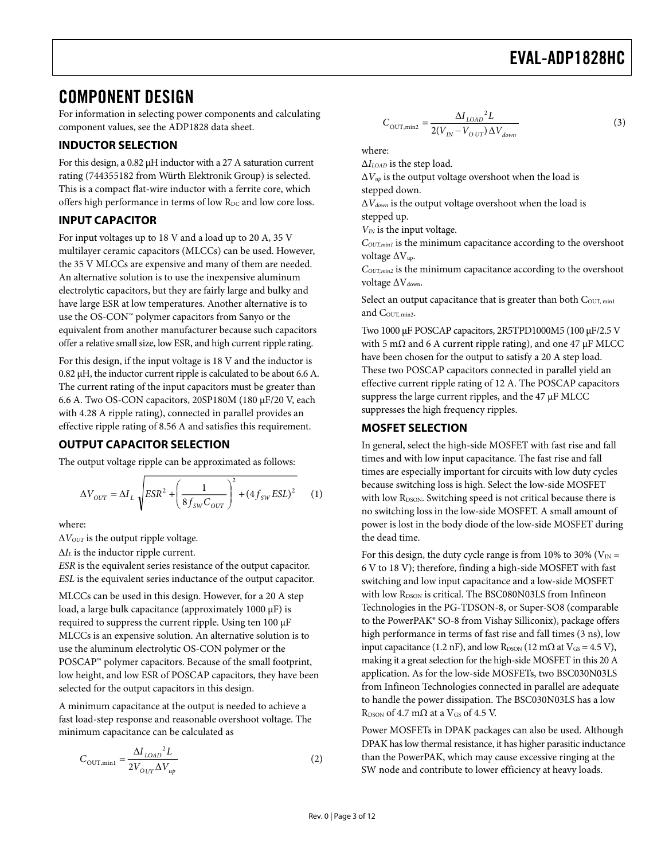### <span id="page-2-0"></span>COMPONENT DESIGN

For information in selecting power components and calculating component values, see the ADP1828 data sheet.

### **INDUCTOR SELECTION**

For this design, a 0.82 μH inductor with a 27 A saturation current rating (744355182 from Würth Elektronik Group) is selected. This is a compact flat-wire inductor with a ferrite core, which offers high performance in terms of low R<sub>DC</sub> and low core loss.

#### **INPUT CAPACITOR**

For input voltages up to 18 V and a load up to 20 A, 35 V multilayer ceramic capacitors (MLCCs) can be used. However, the 35 V MLCCs are expensive and many of them are needed. An alternative solution is to use the inexpensive aluminum electrolytic capacitors, but they are fairly large and bulky and have large ESR at low temperatures. Another alternative is to use the OS-CON™ polymer capacitors from Sanyo or the equivalent from another manufacturer because such capacitors offer a relative small size, low ESR, and high current ripple rating.

For this design, if the input voltage is 18 V and the inductor is 0.82 μH, the inductor current ripple is calculated to be about 6.6 A. The current rating of the input capacitors must be greater than 6.6 A. Two OS-CON capacitors, 20SP180M (180 μF/20 V, each with 4.28 A ripple rating), connected in parallel provides an effective ripple rating of 8.56 A and satisfies this requirement.

### **OUTPUT CAPACITOR SELECTION**

The output voltage ripple can be approximated as follows:

$$
\Delta V_{OUT} = \Delta I_L \sqrt{ESR^2 + \left(\frac{1}{8f_{SW}C_{OUT}}\right)^2 + \left(4f_{SW}ESL\right)^2} \tag{1}
$$

where:

 $\Delta V_{OUT}$  is the output ripple voltage.

Δ*IL* is the inductor ripple current.

*ESR* is the equivalent series resistance of the output capacitor. *ESL* is the equivalent series inductance of the output capacitor.

MLCCs can be used in this design. However, for a 20 A step load, a large bulk capacitance (approximately 1000 μF) is required to suppress the current ripple. Using ten 100 μF MLCCs is an expensive solution. An alternative solution is to use the aluminum electrolytic OS-CON polymer or the POSCAP™ polymer capacitors. Because of the small footprint, low height, and low ESR of POSCAP capacitors, they have been selected for the output capacitors in this design.

A minimum capacitance at the output is needed to achieve a fast load-step response and reasonable overshoot voltage. The minimum capacitance can be calculated as

$$
C_{\text{OUT,min1}} = \frac{\Delta I_{LOAD}{}^{2}L}{2V_{OUT}\Delta V_{up}}
$$
 (2)

$$
C_{\text{OUT,min2}} = \frac{\Delta I_{LOAD}^2 L}{2(V_{IN} - V_{OUT}) \Delta V_{down}}
$$
\n(3)

where:

Δ*ILOAD* is the step load.

 $\Delta V_{up}$  is the output voltage overshoot when the load is

stepped down.

Δ*Vdown* is the output voltage overshoot when the load is stepped up.

*V<sub>IN</sub>* is the input voltage.

*COUT,min1* is the minimum capacitance according to the overshoot voltage ΔVup.

*COUT,min2* is the minimum capacitance according to the overshoot voltage ΔV<sub>down</sub>.

Select an output capacitance that is greater than both  $\text{C}_{\text{OUT, min1}}$ and COUT, min2.

Two 1000 μF POSCAP capacitors, 2R5TPD1000M5 (100 μF/2.5 V with 5 m $\Omega$  and 6 A current ripple rating), and one 47  $\mu$ F MLCC have been chosen for the output to satisfy a 20 A step load. These two POSCAP capacitors connected in parallel yield an effective current ripple rating of 12 A. The POSCAP capacitors suppress the large current ripples, and the 47 μF MLCC suppresses the high frequency ripples.

#### **MOSFET SELECTION**

In general, select the high-side MOSFET with fast rise and fall times and with low input capacitance. The fast rise and fall times are especially important for circuits with low duty cycles because switching loss is high. Select the low-side MOSFET with low R<sub>DSON</sub>. Switching speed is not critical because there is no switching loss in the low-side MOSFET. A small amount of power is lost in the body diode of the low-side MOSFET during the dead time.

For this design, the duty cycle range is from 10% to 30% ( $V_{IN}$  = 6 V to 18 V); therefore, finding a high-side MOSFET with fast switching and low input capacitance and a low-side MOSFET with low RDSON is critical. The BSC080N03LS from Infineon Technologies in the PG-TDSON-8, or Super-SO8 (comparable to the PowerPAK® SO-8 from Vishay Silliconix), package offers high performance in terms of fast rise and fall times (3 ns), low input capacitance (1.2 nF), and low R<sub>DSON</sub> (12 m $\Omega$  at V<sub>GS</sub> = 4.5 V), making it a great selection for the high-side MOSFET in this 20 A application. As for the low-side MOSFETs, two BSC030N03LS from Infineon Technologies connected in parallel are adequate to handle the power dissipation. The BSC030N03LS has a low R<sub>DSON</sub> of 4.7 m $\Omega$  at a V<sub>GS</sub> of 4.5 V.

Power MOSFETs in DPAK packages can also be used. Although DPAK has low thermal resistance, it has higher parasitic inductance than the PowerPAK, which may cause excessive ringing at the SW node and contribute to lower efficiency at heavy loads.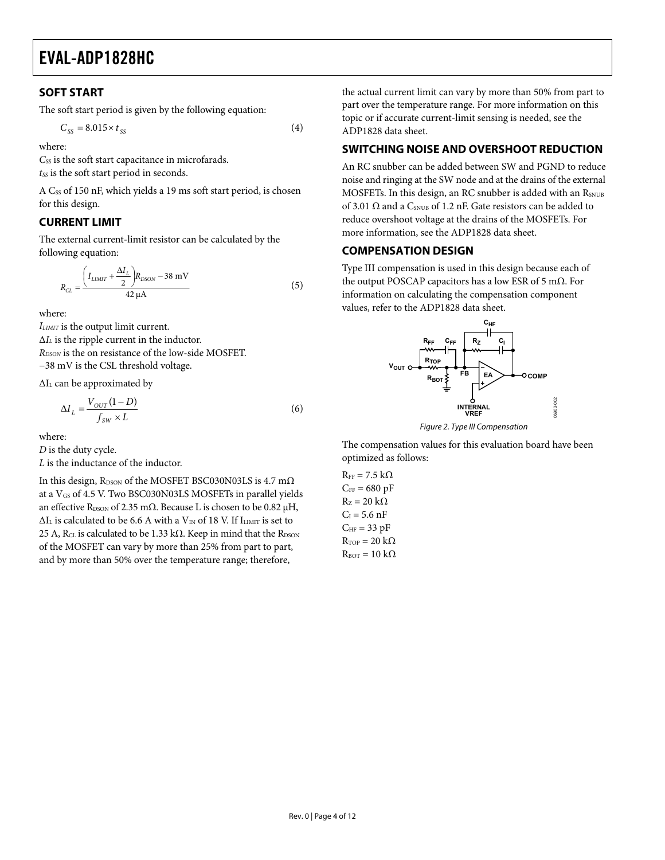### <span id="page-3-0"></span>**SOFT START**

The soft start period is given by the following equation:

$$
C_{SS} = 8.015 \times t_{SS} \tag{4}
$$

where:

*CSS* is the soft start capacitance in microfarads.

 $t_{SS}$  is the soft start period in seconds.

A Css of 150 nF, which yields a 19 ms soft start period, is chosen for this design.

### **CURRENT LIMIT**

The external current-limit resistor can be calculated by the following equation:

$$
R_{CL} = \frac{\left(I_{LIMIT} + \frac{\Delta I_L}{2}\right)R_{DSON} - 38 \text{ mV}}{42 \text{ }\mu\text{A}}
$$
(5)

where:

*ILIMIT* is the output limit current. Δ*IL* is the ripple current in the inductor. *RDSON* is the on resistance of the low-side MOSFET. −38 mV is the CSL threshold voltage.

ΔIL can be approximated by

$$
\Delta I_L = \frac{V_{OUT}(1 - D)}{f_{SW} \times L} \tag{6}
$$

where:

*D* is the duty cycle.

*L* is the inductance of the inductor.

In this design,  $R_{DSON}$  of the MOSFET BSC030N03LS is 4.7 m $\Omega$ at a V<sub>GS</sub> of 4.5 V. Two BSC030N03LS MOSFETs in parallel yields an effective R<sub>DSON</sub> of 2.35 m $\Omega$ . Because L is chosen to be 0.82  $\mu$ H,  $\Delta I_L$  is calculated to be 6.6 A with a V<sub>IN</sub> of 18 V. If  $I_{LIMIT}$  is set to 25 A, R<sub>CL</sub> is calculated to be 1.33 kΩ. Keep in mind that the R<sub>DSON</sub> of the MOSFET can vary by more than 25% from part to part, and by more than 50% over the temperature range; therefore,

the actual current limit can vary by more than 50% from part to part over the temperature range. For more information on this topic or if accurate current-limit sensing is needed, see the ADP1828 data sheet.

### **SWITCHING NOISE AND OVERSHOOT REDUCTION**

An RC snubber can be added between SW and PGND to reduce noise and ringing at the SW node and at the drains of the external MOSFETs. In this design, an RC snubber is added with an RSNUB of 3.01  $\Omega$  and a C<sub>SNUB</sub> of 1.2 nF. Gate resistors can be added to reduce overshoot voltage at the drains of the MOSFETs. For more information, see the ADP1828 data sheet.

### **COMPENSATION DESIGN**

Type III compensation is used in this design because each of the output POSCAP capacitors has a low ESR of 5 mΩ. For information on calculating the compensation component values, refer to the ADP1828 data sheet.



Figure 2. Type III Compensation

The compensation values for this evaluation board have been optimized as follows:

 $R_{FF}$  = 7.5 k $\Omega$  $C_{FF}$  = 680 pF  $R_z = 20 k\Omega$  $C_I = 5.6$  nF  $C_{HF}$  = 33 pF  $R_{TOP} = 20 k\Omega$  $R_{\text{ROT}} = 10 \text{ k}\Omega$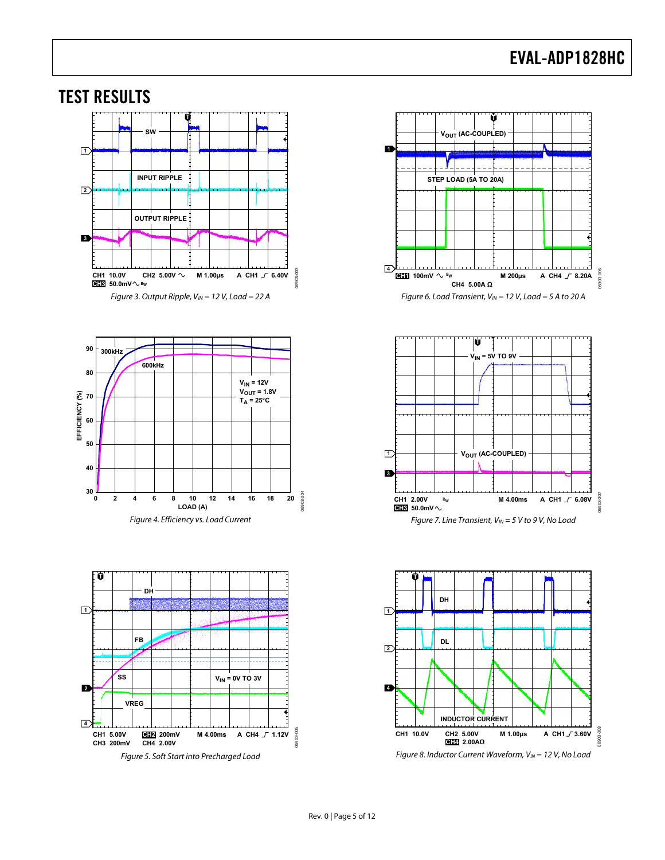<span id="page-4-0"></span>





Figure 5. Soft Start into Precharged Load







Figure 8. Inductor Current Waveform,  $V_{IN} = 12$  V, No Load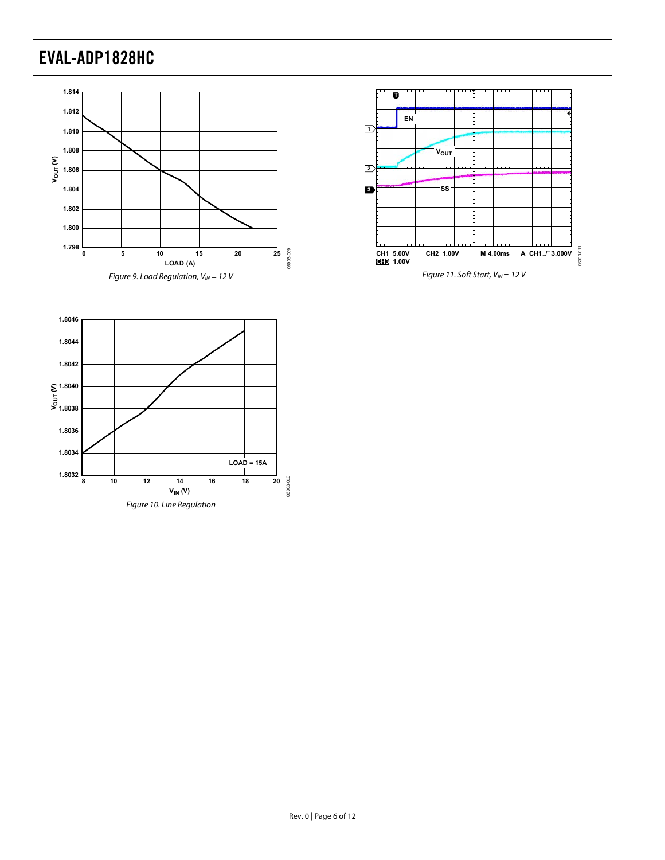



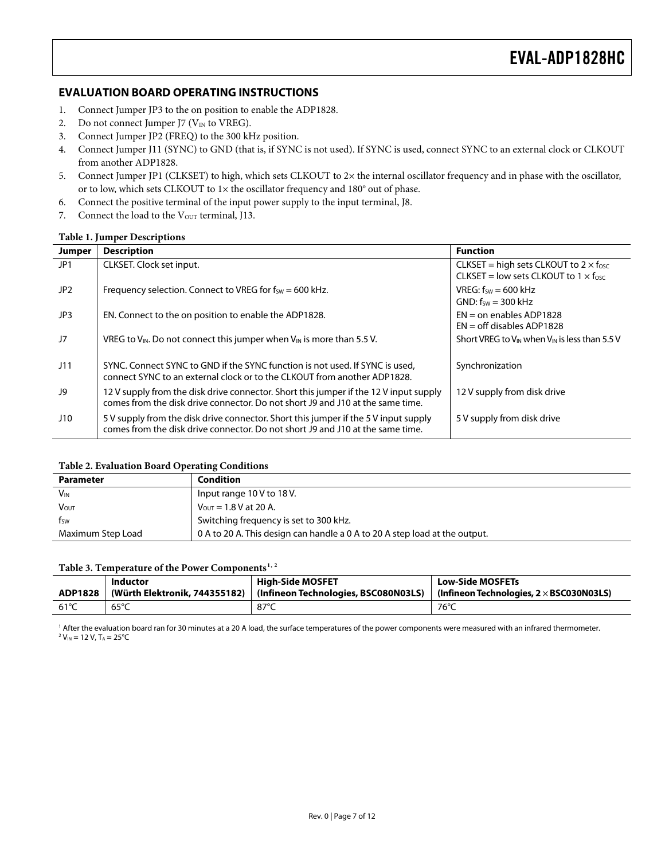#### <span id="page-6-0"></span>**EVALUATION BOARD OPERATING INSTRUCTIONS**

- 1. Connect Jumper JP3 to the on position to enable the ADP1828.
- 2. Do not connect Jumper J7 ( $V_{IN}$  to VREG).
- 3. Connect Jumper JP2 (FREQ) to the 300 kHz position.
- 4. Connect Jumper J11 (SYNC) to GND (that is, if SYNC is not used). If SYNC is used, connect SYNC to an external clock or CLKOUT from another ADP1828.
- 5. Connect Jumper JP1 (CLKSET) to high, which sets CLKOUT to 2× the internal oscillator frequency and in phase with the oscillator, or to low, which sets CLKOUT to  $1 \times$  the oscillator frequency and  $180^\circ$  out of phase.
- 6. Connect the positive terminal of the input power supply to the input terminal, J8.
- 7. Connect the load to the V<sub>OUT</sub> terminal, J13.

#### **Table 1. Jumper Descriptions**

| <b>Jumper</b> | <b>Description</b>                                                                                                                                                      | <b>Function</b>                                                                                       |
|---------------|-------------------------------------------------------------------------------------------------------------------------------------------------------------------------|-------------------------------------------------------------------------------------------------------|
| JP1           | CLKSET. Clock set input.                                                                                                                                                | CLKSET = high sets CLKOUT to $2 \times f_{\text{osc}}$<br>CLKSET = low sets CLKOUT to $1 \times$ fosc |
| JP2           | Frequency selection. Connect to VREG for $f_{SW} = 600$ kHz.                                                                                                            | VREG: $f_{sw} = 600$ kHz<br>$GND: fsw = 300 kHz$                                                      |
| JP3           | EN. Connect to the on position to enable the ADP1828.                                                                                                                   | $EN =$ on enables ADP1828<br>$EN = off$ disables ADP1828                                              |
| J7            | VREG to $V_{\text{IN}}$ . Do not connect this jumper when $V_{\text{IN}}$ is more than 5.5 V.                                                                           | Short VREG to V <sub>IN</sub> when V <sub>IN</sub> is less than 5.5 V                                 |
| J11           | SYNC. Connect SYNC to GND if the SYNC function is not used. If SYNC is used.<br>connect SYNC to an external clock or to the CLKOUT from another ADP1828.                | Synchronization                                                                                       |
| J9            | 12 V supply from the disk drive connector. Short this jumper if the 12 V input supply<br>comes from the disk drive connector. Do not short 19 and 110 at the same time. | 12 V supply from disk drive                                                                           |
| J10           | 5 V supply from the disk drive connector. Short this jumper if the 5 V input supply<br>comes from the disk drive connector. Do not short J9 and J10 at the same time.   | 5 V supply from disk drive                                                                            |

#### **Table 2. Evaluation Board Operating Conditions**

| <b>Parameter</b>      | Condition                                                                  |
|-----------------------|----------------------------------------------------------------------------|
| <b>V<sub>IN</sub></b> | Input range $10V$ to $18V$ .                                               |
| <b>VOUT</b>           | $V_{\text{OUT}} = 1.8 V$ at 20 A.                                          |
| fsw                   | Switching frequency is set to 300 kHz.                                     |
| Maximum Step Load     | 0 A to 20 A. This design can handle a 0 A to 20 A step load at the output. |

#### **Table 3. Temperature of the Power Components[1](#page-11-1), [2](#page-11-2)**

| ADP1828 | Inductor       | High-Side MOSFET<br>(Würth Elektronik, 744355182)   (Infineon Technologies, BSC080N03LS) | <b>Low-Side MOSFETs</b><br>$\mid$ (Infineon Technologies, 2 $\times$ BSC030N03LS) |
|---------|----------------|------------------------------------------------------------------------------------------|-----------------------------------------------------------------------------------|
| 61°C    | $65^{\circ}$ C | 87°C                                                                                     | 76°C                                                                              |

<sup>1</sup> After the evaluation board ran for 30 minutes at a 20 A load, the surface temperatures of the power components were measured with an infrared thermometer.<br><sup>2</sup> V… – 12 V エ – 25°C  $2 V_{IN} = 12 V$ , T<sub>A</sub> = 25°C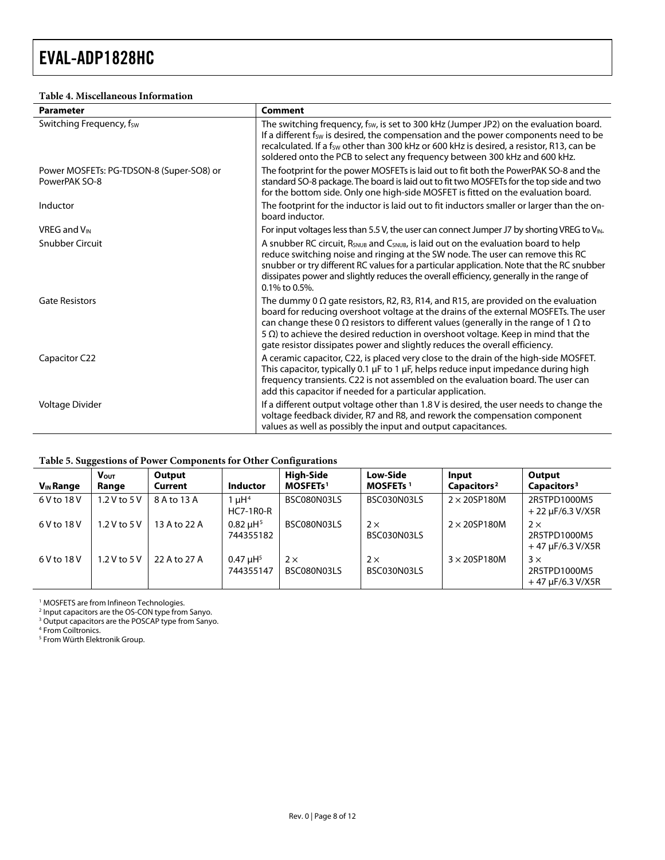#### **Table 4. Miscellaneous Information**

| <b>Parameter</b>                                          | Comment                                                                                                                                                                                                                                                                                                                                                                                                                                                             |
|-----------------------------------------------------------|---------------------------------------------------------------------------------------------------------------------------------------------------------------------------------------------------------------------------------------------------------------------------------------------------------------------------------------------------------------------------------------------------------------------------------------------------------------------|
| Switching Frequency, fsw                                  | The switching frequency, fsw, is set to 300 kHz (Jumper JP2) on the evaluation board.<br>If a different f <sub>sw</sub> is desired, the compensation and the power components need to be<br>recalculated. If a fsw other than 300 kHz or 600 kHz is desired, a resistor, R13, can be<br>soldered onto the PCB to select any frequency between 300 kHz and 600 kHz.                                                                                                  |
| Power MOSFETs: PG-TDSON-8 (Super-SO8) or<br>PowerPAK SO-8 | The footprint for the power MOSFETs is laid out to fit both the PowerPAK SO-8 and the<br>standard SO-8 package. The board is laid out to fit two MOSFETs for the top side and two<br>for the bottom side. Only one high-side MOSFET is fitted on the evaluation board.                                                                                                                                                                                              |
| Inductor                                                  | The footprint for the inductor is laid out to fit inductors smaller or larger than the on-<br>board inductor.                                                                                                                                                                                                                                                                                                                                                       |
| <b>VREG and V<sub>IN</sub></b>                            | For input voltages less than 5.5 V, the user can connect Jumper J7 by shorting VREG to VIN.                                                                                                                                                                                                                                                                                                                                                                         |
| <b>Snubber Circuit</b>                                    | A snubber RC circuit, R <sub>SNUB</sub> and C <sub>SNUB</sub> , is laid out on the evaluation board to help<br>reduce switching noise and ringing at the SW node. The user can remove this RC<br>snubber or try different RC values for a particular application. Note that the RC snubber<br>dissipates power and slightly reduces the overall efficiency, generally in the range of<br>$0.1\%$ to 0.5%.                                                           |
| <b>Gate Resistors</b>                                     | The dummy 0 $\Omega$ gate resistors, R2, R3, R14, and R15, are provided on the evaluation<br>board for reducing overshoot voltage at the drains of the external MOSFETs. The user<br>can change these 0 $\Omega$ resistors to different values (generally in the range of 1 $\Omega$ to<br>$5 \Omega$ ) to achieve the desired reduction in overshoot voltage. Keep in mind that the<br>gate resistor dissipates power and slightly reduces the overall efficiency. |
| Capacitor C22                                             | A ceramic capacitor, C22, is placed very close to the drain of the high-side MOSFET.<br>This capacitor, typically 0.1 µF to 1 µF, helps reduce input impedance during high<br>frequency transients. C22 is not assembled on the evaluation board. The user can<br>add this capacitor if needed for a particular application.                                                                                                                                        |
| Voltage Divider                                           | If a different output voltage other than 1.8 V is desired, the user needs to change the<br>voltage feedback divider, R7 and R8, and rework the compensation component<br>values as well as possibly the input and output capacitances.                                                                                                                                                                                                                              |

#### **Table 5. Suggestions of Power Components for Other Configurations**

<span id="page-7-1"></span><span id="page-7-0"></span>

| $V_{IN}$ Range | ັບບ<br><b>Vout</b><br>Range | Output<br>Current | <b>Inductor</b>                            | <b>High-Side</b><br><b>MOSFETs<sup>1</sup></b> | <b>Low-Side</b><br><b>MOSFETs</b> <sup>1</sup> | <b>Input</b><br>Capacitors <sup>2</sup> | Output<br>Capacitors <sup>3</sup>                   |
|----------------|-----------------------------|-------------------|--------------------------------------------|------------------------------------------------|------------------------------------------------|-----------------------------------------|-----------------------------------------------------|
| 6 V to 18 V    | $1.2$ V to $5$ V            | 8 A to 13 A       | 1 $\mu$ H <sup>4</sup><br><b>HC7-1R0-R</b> | BSC080N03LS                                    | BSC030N03LS                                    | $2 \times 20$ SP180M                    | 2R5TPD1000M5<br>$+22 \mu F/6.3 V/X5R$               |
| 6 V to 18 V    | 1.2 V to 5 V                | 13 A to 22 A      | $0.82 \mu H^{5}$<br>744355182              | BSC080N03LS                                    | $2 \times$<br>BSC030N03LS                      | $2 \times 20$ SP180M                    | $2 \times$<br>2R5TPD1000M5<br>$+47 \mu F/6.3 V/X5R$ |
| 6 V to 18 V    | 1.2 V to 5 V                | 22 A to 27 A      | $0.47 \mu H^{5}$<br>744355147              | $2 \times$<br>BSC080N03LS                      | $2 \times$<br>BSC030N03LS                      | $3 \times 20$ SP180M                    | 3x<br>2R5TPD1000M5<br>$+47 \mu F/6.3 V/X5R$         |

1 MOSFETS are from Infineon Technologies. 2 Input capacitors are the OS-CON type from Sanyo. 3 Output capacitors are the POSCAP type from Sanyo.

4 From Coiltronics.

5 From Würth Elektronik Group.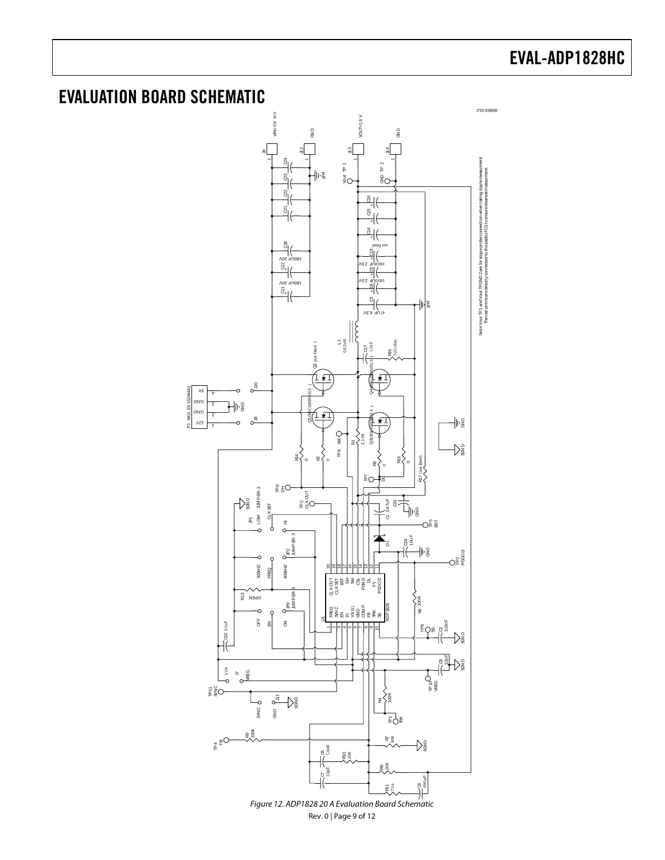### <span id="page-8-0"></span>EVALUATION BOARD SCHEMATIC



Rev. 0 | Page 9 of 12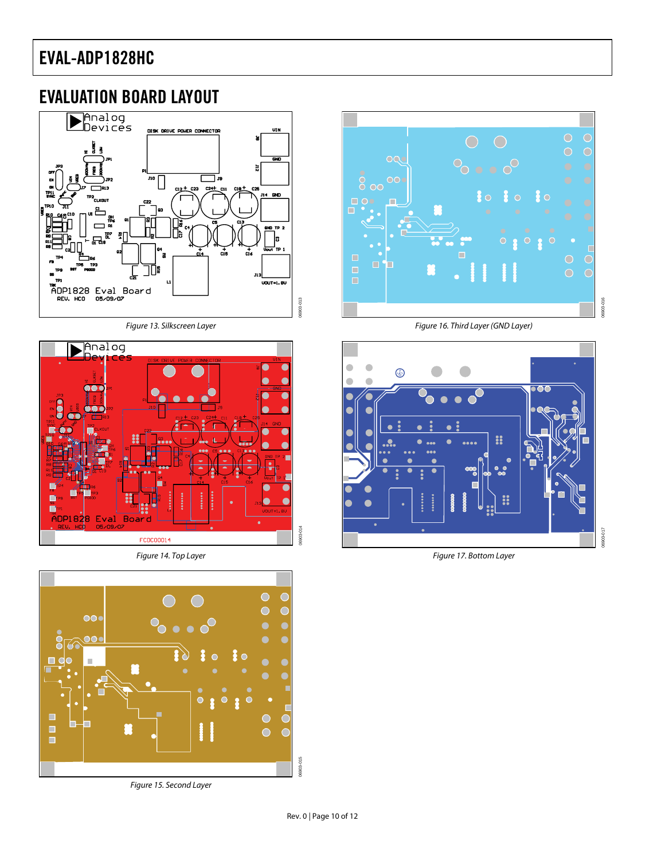### <span id="page-9-0"></span>EVALUATION BOARD LAYOUT



Figure 13. Silkscreen Layer



Figure 14. Top Layer



 $\overline{\bullet}$  $016$ Figure 16. Third Layer (GND Layer)

06903-016



Figure 17. Bottom Layer



06903-013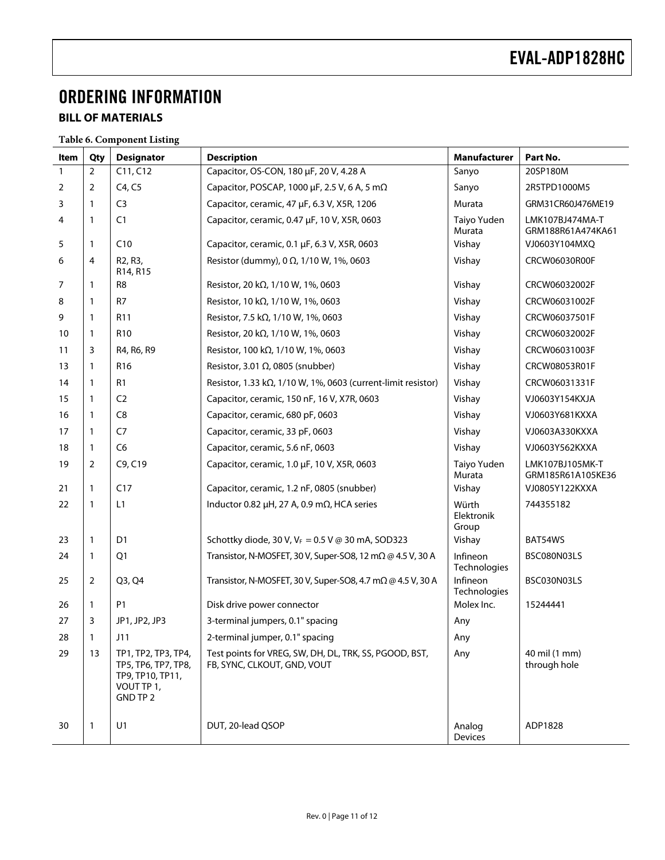# <span id="page-10-0"></span>ORDERING INFORMATION

### **BILL OF MATERIALS**

**Table 6. Component Listing** 

| Item         | Qty            | <b>Designator</b>                                                                        | <b>Description</b>                                                                    | <b>Manufacturer</b>          | Part No.                             |
|--------------|----------------|------------------------------------------------------------------------------------------|---------------------------------------------------------------------------------------|------------------------------|--------------------------------------|
| $\mathbf{1}$ | $\overline{2}$ | C11, C12                                                                                 | Capacitor, OS-CON, 180 µF, 20 V, 4.28 A                                               | Sanyo                        | 20SP180M                             |
| 2            | 2              | C4, C5                                                                                   | Capacitor, POSCAP, 1000 μF, 2.5 V, 6 A, 5 mΩ                                          | Sanyo                        | 2R5TPD1000M5                         |
| 3            | 1              | C <sub>3</sub>                                                                           | Capacitor, ceramic, 47 µF, 6.3 V, X5R, 1206                                           | Murata                       | GRM31CR60J476ME19                    |
| 4            | 1              | C <sub>1</sub>                                                                           | Capacitor, ceramic, 0.47 µF, 10 V, X5R, 0603                                          | Taiyo Yuden<br>Murata        | LMK107BJ474MA-T<br>GRM188R61A474KA61 |
| 5            | 1              | C10                                                                                      | Capacitor, ceramic, 0.1 µF, 6.3 V, X5R, 0603                                          | Vishay                       | VJ0603Y104MXQ                        |
| 6            | 4              | R <sub>2</sub> , R <sub>3</sub> ,<br>R <sub>14</sub> , R <sub>15</sub>                   | Resistor (dummy), 0 Ω, 1/10 W, 1%, 0603                                               | Vishay                       | CRCW06030R00F                        |
| 7            | 1              | R <sub>8</sub>                                                                           | Resistor, 20 kΩ, 1/10 W, 1%, 0603                                                     | Vishay                       | CRCW06032002F                        |
| 8            | 1              | R <sub>7</sub>                                                                           | Resistor, 10 kΩ, 1/10 W, 1%, 0603                                                     | Vishay                       | CRCW06031002F                        |
| 9            | 1              | R <sub>11</sub>                                                                          | Resistor, 7.5 kΩ, 1/10 W, 1%, 0603                                                    | Vishay                       | CRCW06037501F                        |
| 10           | $\mathbf{1}$   | R <sub>10</sub>                                                                          | Resistor, 20 kΩ, 1/10 W, 1%, 0603                                                     | Vishay                       | CRCW06032002F                        |
| 11           | 3              | R4, R6, R9                                                                               | Resistor, 100 k $\Omega$ , 1/10 W, 1%, 0603                                           | Vishay                       | CRCW06031003F                        |
| 13           | $\mathbf{1}$   | R <sub>16</sub>                                                                          | Resistor, 3.01 $\Omega$ , 0805 (snubber)                                              | Vishay                       | CRCW08053R01F                        |
| 14           | $\mathbf{1}$   | R1                                                                                       | Resistor, 1.33 k $\Omega$ , 1/10 W, 1%, 0603 (current-limit resistor)                 | Vishay                       | CRCW06031331F                        |
| 15           | $\mathbf{1}$   | C <sub>2</sub>                                                                           | Capacitor, ceramic, 150 nF, 16 V, X7R, 0603                                           | Vishay                       | VJ0603Y154KXJA                       |
| 16           | $\mathbf{1}$   | C <sub>8</sub>                                                                           | Capacitor, ceramic, 680 pF, 0603                                                      | Vishay                       | VJ0603Y681KXXA                       |
| 17           | $\mathbf{1}$   | C <sub>7</sub>                                                                           | Capacitor, ceramic, 33 pF, 0603                                                       | Vishay                       | VJ0603A330KXXA                       |
| 18           | $\mathbf{1}$   | C6                                                                                       | Capacitor, ceramic, 5.6 nF, 0603                                                      | Vishay                       | VJ0603Y562KXXA                       |
| 19           | 2              | C9, C19                                                                                  | Capacitor, ceramic, 1.0 µF, 10 V, X5R, 0603                                           | Taiyo Yuden<br>Murata        | LMK107BJ105MK-T<br>GRM185R61A105KE36 |
| 21           | 1              | C17                                                                                      | Capacitor, ceramic, 1.2 nF, 0805 (snubber)                                            | Vishay                       | VJ0805Y122KXXA                       |
| 22           | 1              | L1                                                                                       | Inductor 0.82 $\mu$ H, 27 A, 0.9 m $\Omega$ , HCA series                              | Würth<br>Elektronik<br>Group | 744355182                            |
| 23           | 1              | D <sub>1</sub>                                                                           | Schottky diode, 30 V, $V_F = 0.5$ V @ 30 mA, SOD323                                   | Vishay                       | BAT54WS                              |
| 24           | 1              | Q <sub>1</sub>                                                                           | Transistor, N-MOSFET, 30 V, Super-SO8, 12 mΩ @ 4.5 V, 30 A                            | Infineon<br>Technologies     | BSC080N03LS                          |
| 25           | 2              | Q3, Q4                                                                                   | Transistor, N-MOSFET, 30 V, Super-SO8, 4.7 mΩ @ 4.5 V, 30 A                           | Infineon<br>Technologies     | BSC030N03LS                          |
| 26           | $\mathbf{1}$   | P <sub>1</sub>                                                                           | Disk drive power connector                                                            | Molex Inc.                   | 15244441                             |
| 27           | 3              | JP1, JP2, JP3                                                                            | 3-terminal jumpers, 0.1" spacing                                                      | Any                          |                                      |
| 28           | 1              | J11                                                                                      | 2-terminal jumper, 0.1" spacing                                                       | Any                          |                                      |
| 29           | 13             | TP1, TP2, TP3, TP4,<br>TP5, TP6, TP7, TP8,<br>TP9, TP10, TP11,<br>VOUT TP 1,<br>GND TP 2 | Test points for VREG, SW, DH, DL, TRK, SS, PGOOD, BST,<br>FB, SYNC, CLKOUT, GND, VOUT | Any                          | 40 mil (1 mm)<br>through hole        |
| 30           | 1              | U1                                                                                       | DUT, 20-lead QSOP                                                                     | Analog<br>Devices            | ADP1828                              |